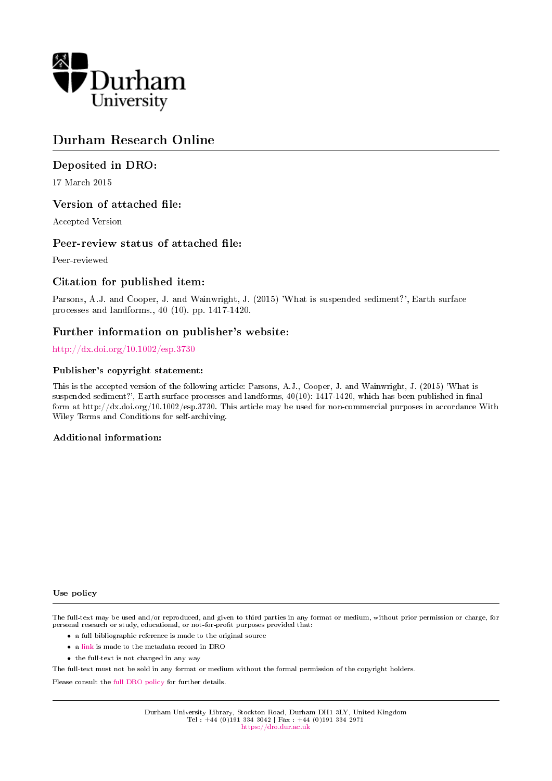

# Durham Research Online

# Deposited in DRO:

17 March 2015

## Version of attached file:

Accepted Version

## Peer-review status of attached file:

Peer-reviewed

## Citation for published item:

Parsons, A.J. and Cooper, J. and Wainwright, J. (2015) 'What is suspended sediment?', Earth surface processes and landforms., 40 (10). pp. 1417-1420.

# Further information on publisher's website:

<http://dx.doi.org/10.1002/esp.3730>

#### Publisher's copyright statement:

This is the accepted version of the following article: Parsons, A.J., Cooper, J. and Wainwright, J. (2015) 'What is suspended sediment?', Earth surface processes and landforms,  $40(10)$ : 1417-1420, which has been published in final form at http://dx.doi.org/10.1002/esp.3730. This article may be used for non-commercial purposes in accordance With Wiley Terms and Conditions for self-archiving.

### Additional information:

#### Use policy

The full-text may be used and/or reproduced, and given to third parties in any format or medium, without prior permission or charge, for personal research or study, educational, or not-for-profit purposes provided that:

- a full bibliographic reference is made to the original source
- a [link](http://dro.dur.ac.uk/14843/) is made to the metadata record in DRO
- the full-text is not changed in any way

The full-text must not be sold in any format or medium without the formal permission of the copyright holders.

Please consult the [full DRO policy](https://dro.dur.ac.uk/policies/usepolicy.pdf) for further details.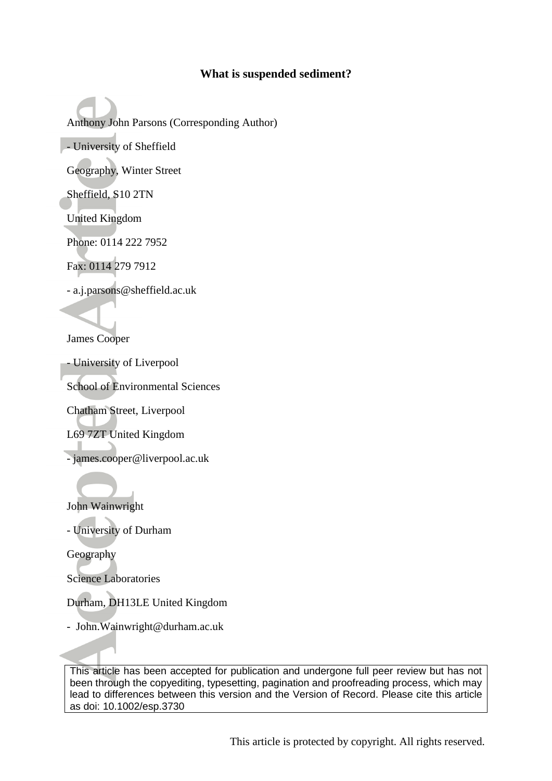# **What is suspended sediment?**

Anthony John Parsons (Corresponding Author) - University of Sheffield

Geography, Winter Street

Sheffield, S10 2TN

United Kingdom

Phone: 0114 222 7952

Fax: 0114 279 7912

- a.j.parsons@sheffield.ac.uk

James Cooper

- University of Liverpool

School of Environmental Sciences

Chatham Street, Liverpool

L69 7ZT United Kingdom

- james.cooper@liverpool.ac.uk

John Wainwright

- University of Durham

Geography

Science Laboratories

Durham, DH13LE United Kingdom

- John.Wainwright@durham.ac.uk

This article has been accepted for publication and undergone full peer review but has not been through the copyediting, typesetting, pagination and proofreading process, which may lead to differences between this version and the Version of Record. Please cite this article as doi: 10.1002/esp.3730

This article is protected by copyright. All rights reserved.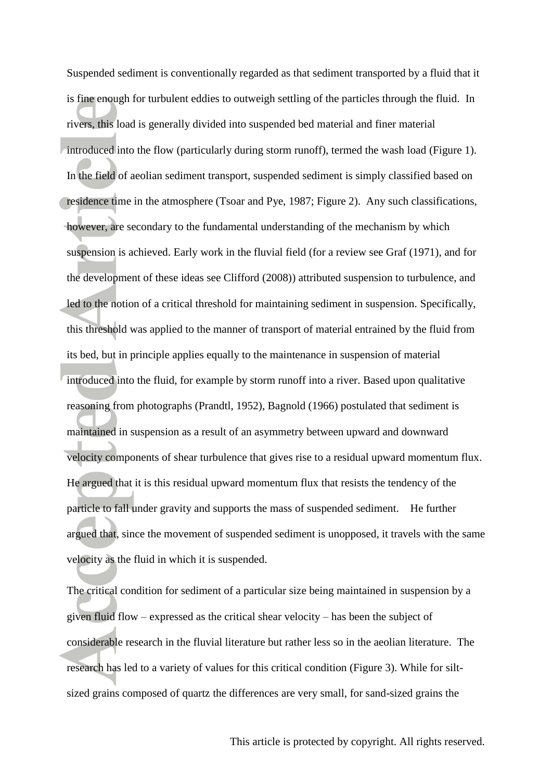Suspended sediment is conventionally regarded as that sediment transported by a fluid that it is fine enough for turbulent eddies to outweigh settling of the particles through the fluid. In rivers, this load is generally divided into suspended bed material and finer material introduced into the flow (particularly during storm runoff), termed the wash load (Figure 1). In the field of aeolian sediment transport, suspended sediment is simply classified based on residence time in the atmosphere (Tsoar and Pye, 1987; Figure 2). Any such classifications, however, are secondary to the fundamental understanding of the mechanism by which suspension is achieved. Early work in the fluvial field (for a review see Graf (1971), and for the development of these ideas see Clifford (2008)) attributed suspension to turbulence, and led to the notion of a critical threshold for maintaining sediment in suspension. Specifically, this threshold was applied to the manner of transport of material entrained by the fluid from its bed, but in principle applies equally to the maintenance in suspension of material introduced into the fluid, for example by storm runoff into a river. Based upon qualitative reasoning from photographs (Prandtl, 1952), Bagnold (1966) postulated that sediment is maintained in suspension as a result of an asymmetry between upward and downward velocity components of shear turbulence that gives rise to a residual upward momentum flux. He argued that it is this residual upward momentum flux that resists the tendency of the particle to fall under gravity and supports the mass of suspended sediment. He further argued that, since the movement of suspended sediment is unopposed, it travels with the same velocity as the fluid in which it is suspended.

The critical condition for sediment of a particular size being maintained in suspension by a given fluid flow – expressed as the critical shear velocity – has been the subject of considerable research in the fluvial literature but rather less so in the aeolian literature. The research has led to a variety of values for this critical condition (Figure 3). While for siltsized grains composed of quartz the differences are very small, for sand-sized grains the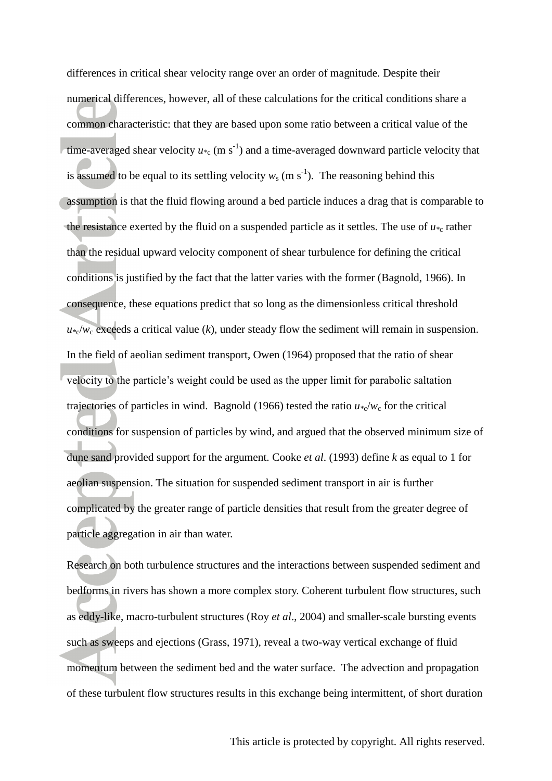differences in critical shear velocity range over an order of magnitude. Despite their numerical differences, however, all of these calculations for the critical conditions share a common characteristic: that they are based upon some ratio between a critical value of the time-averaged shear velocity  $u_{\infty}$  (m s<sup>-1</sup>) and a time-averaged downward particle velocity that is assumed to be equal to its settling velocity  $w_s$  (m s<sup>-1</sup>). The reasoning behind this assumption is that the fluid flowing around a bed particle induces a drag that is comparable to the resistance exerted by the fluid on a suspended particle as it settles. The use of  $u_{*c}$  rather than the residual upward velocity component of shear turbulence for defining the critical conditions is justified by the fact that the latter varies with the former (Bagnold, 1966). In consequence, these equations predict that so long as the dimensionless critical threshold  $u *_{c}/w_{c}$  exceeds a critical value (*k*), under steady flow the sediment will remain in suspension. In the field of aeolian sediment transport, Owen (1964) proposed that the ratio of shear velocity to the particle's weight could be used as the upper limit for parabolic saltation trajectories of particles in wind. Bagnold (1966) tested the ratio  $u *_{c}/w_{c}$  for the critical conditions for suspension of particles by wind, and argued that the observed minimum size of dune sand provided support for the argument. Cooke *et al*. (1993) define *k* as equal to 1 for aeolian suspension. The situation for suspended sediment transport in air is further complicated by the greater range of particle densities that result from the greater degree of particle aggregation in air than water.

Research on both turbulence structures and the interactions between suspended sediment and bedforms in rivers has shown a more complex story. Coherent turbulent flow structures, such as eddy-like, macro-turbulent structures (Roy *et al*., 2004) and smaller-scale bursting events such as sweeps and ejections (Grass, 1971), reveal a two-way vertical exchange of fluid momentum between the sediment bed and the water surface. The advection and propagation of these turbulent flow structures results in this exchange being intermittent, of short duration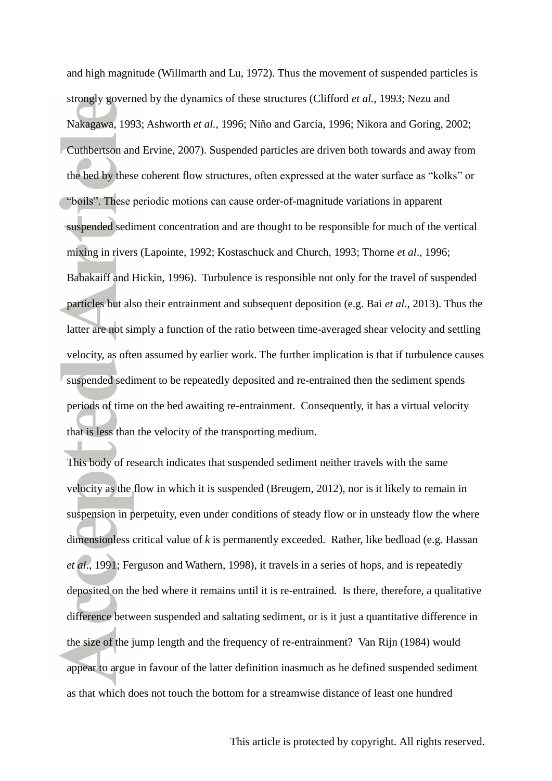and high magnitude (Willmarth and Lu, 1972). Thus the movement of suspended particles is strongly governed by the dynamics of these structures (Clifford *et al.*, 1993; Nezu and Nakagawa, 1993; Ashworth *et al.*, 1996; Niño and García, 1996; Nikora and Goring, 2002; Cuthbertson and Ervine, 2007). Suspended particles are driven both towards and away from the bed by these coherent flow structures, often expressed at the water surface as "kolks" or "boils". These periodic motions can cause order-of-magnitude variations in apparent suspended sediment concentration and are thought to be responsible for much of the vertical mixing in rivers (Lapointe, 1992; Kostaschuck and Church, 1993; Thorne *et al*., 1996; Babakaiff and Hickin, 1996). Turbulence is responsible not only for the travel of suspended particles but also their entrainment and subsequent deposition (e.g. Bai *et al*., 2013). Thus the latter are not simply a function of the ratio between time-averaged shear velocity and settling velocity, as often assumed by earlier work. The further implication is that if turbulence causes suspended sediment to be repeatedly deposited and re-entrained then the sediment spends periods of time on the bed awaiting re-entrainment. Consequently, it has a virtual velocity that is less than the velocity of the transporting medium.

This body of research indicates that suspended sediment neither travels with the same velocity as the flow in which it is suspended (Breugem, 2012), nor is it likely to remain in suspension in perpetuity, even under conditions of steady flow or in unsteady flow the where dimensionless critical value of *k* is permanently exceeded. Rather, like bedload (e.g. Hassan *et al*., 1991; Ferguson and Wathern, 1998), it travels in a series of hops, and is repeatedly deposited on the bed where it remains until it is re-entrained. Is there, therefore, a qualitative difference between suspended and saltating sediment, or is it just a quantitative difference in the size of the jump length and the frequency of re-entrainment? Van Rijn (1984) would appear to argue in favour of the latter definition inasmuch as he defined suspended sediment as that which does not touch the bottom for a streamwise distance of least one hundred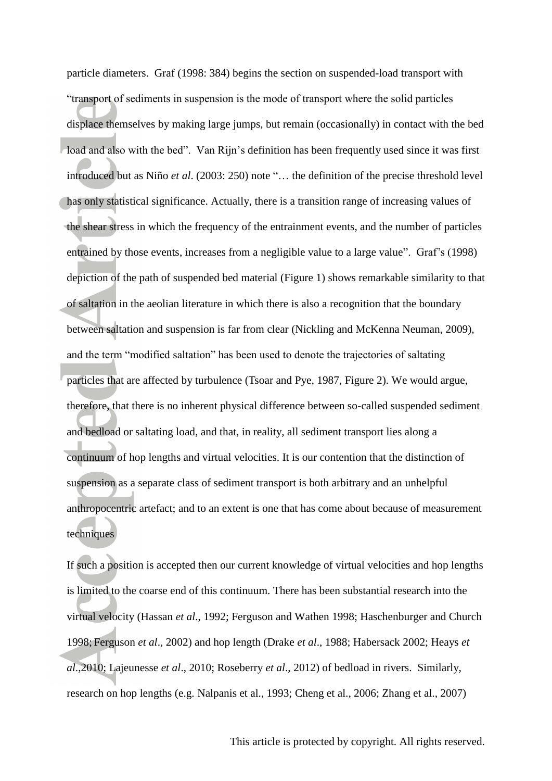particle diameters. Graf (1998: 384) begins the section on suspended-load transport with "transport of sediments in suspension is the mode of transport where the solid particles displace themselves by making large jumps, but remain (occasionally) in contact with the bed load and also with the bed". Van Rijn's definition has been frequently used since it was first introduced but as Niño *et al*. (2003: 250) note "… the definition of the precise threshold level has only statistical significance. Actually, there is a transition range of increasing values of the shear stress in which the frequency of the entrainment events, and the number of particles entrained by those events, increases from a negligible value to a large value". Graf's (1998) depiction of the path of suspended bed material (Figure 1) shows remarkable similarity to that of saltation in the aeolian literature in which there is also a recognition that the boundary between saltation and suspension is far from clear (Nickling and McKenna Neuman, 2009), and the term "modified saltation" has been used to denote the trajectories of saltating particles that are affected by turbulence (Tsoar and Pye, 1987, Figure 2). We would argue, therefore, that there is no inherent physical difference between so-called suspended sediment and bedload or saltating load, and that, in reality, all sediment transport lies along a continuum of hop lengths and virtual velocities. It is our contention that the distinction of suspension as a separate class of sediment transport is both arbitrary and an unhelpful anthropocentric artefact; and to an extent is one that has come about because of measurement techniques

If such a position is accepted then our current knowledge of virtual velocities and hop lengths is limited to the coarse end of this continuum. There has been substantial research into the virtual velocity (Hassan *et al*., 1992; Ferguson and Wathen 1998; Haschenburger and Church 1998; Ferguson *et al*., 2002) and hop length (Drake *et al*., 1988; Habersack 2002; Heays *et al*.,2010; Lajeunesse *et al*., 2010; Roseberry *et al*., 2012) of bedload in rivers. Similarly, research on hop lengths (e.g. Nalpanis et al., 1993; Cheng et al., 2006; Zhang et al., 2007)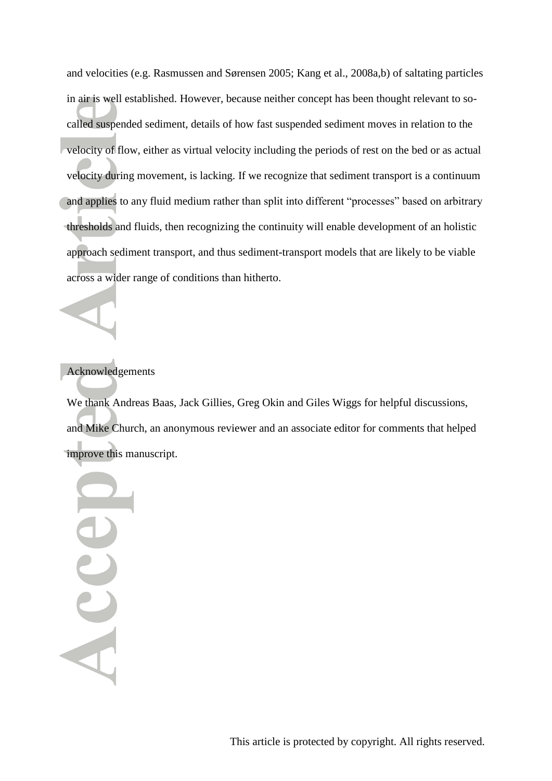and velocities (e.g. Rasmussen and Sørensen 2005; Kang et al., 2008a,b) of saltating particles in air is well established. However, because neither concept has been thought relevant to socalled suspended sediment, details of how fast suspended sediment moves in relation to the velocity of flow, either as virtual velocity including the periods of rest on the bed or as actual velocity during movement, is lacking. If we recognize that sediment transport is a continuum and applies to any fluid medium rather than split into different "processes" based on arbitrary thresholds and fluids, then recognizing the continuity will enable development of an holistic approach sediment transport, and thus sediment-transport models that are likely to be viable across a wider range of conditions than hitherto.

# Acknowledgements

We thank Andreas Baas, Jack Gillies, Greg Okin and Giles Wiggs for helpful discussions, and Mike Church, an anonymous reviewer and an associate editor for comments that helped improve this manuscript.

Acce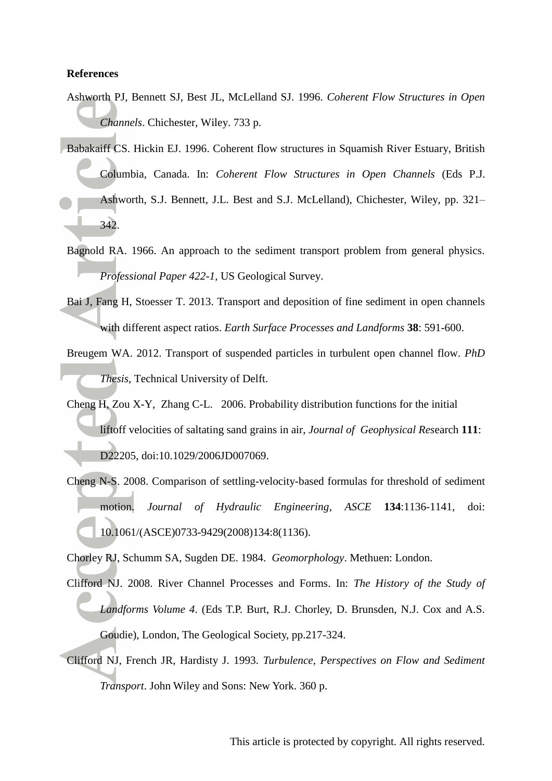### **References**

- Ashworth PJ, Bennett SJ, Best JL, McLelland SJ. 1996. *Coherent Flow Structures in Open Channels*. Chichester, Wiley. 733 p.
- Babakaiff CS. Hickin EJ. 1996. Coherent flow structures in Squamish River Estuary, British Columbia, Canada. In: *Coherent Flow Structures in Open Channels* (Eds P.J. Ashworth, S.J. Bennett, J.L. Best and S.J. McLelland), Chichester, Wiley, pp. 321– 342.
- Bagnold RA. 1966. An approach to the sediment transport problem from general physics. *Professional Paper 422-1*, US Geological Survey.
- Bai J, Fang H, Stoesser T. 2013. Transport and deposition of fine sediment in open channels with different aspect ratios. *Earth Surface Processes and Landforms* **38**: 591-600.
- Breugem WA. 2012. Transport of suspended particles in turbulent open channel flow. *PhD Thesis*, Technical University of Delft.
- Cheng H, Zou X-Y, Zhang C-L. 2006. Probability distribution functions for the initial liftoff velocities of saltating sand grains in air, *Journal of Geophysical Res*earch **111**: D22205, doi:10.1029/2006JD007069.
- Cheng N-S. 2008. Comparison of settling-velocity-based formulas for threshold of sediment motion. *Journal of Hydraulic Engineering*, *ASCE* **134**:1136-1141, doi: 10.1061/(ASCE)0733-9429(2008)134:8(1136).

Chorley RJ, Schumm SA, Sugden DE. 1984. *Geomorphology*. Methuen: London.

- Clifford NJ. 2008. River Channel Processes and Forms. In: *The History of the Study of Landforms Volume 4*. (Eds T.P. Burt, R.J. Chorley, D. Brunsden, N.J. Cox and A.S. Goudie), London, The Geological Society, pp.217-324.
- Clifford NJ, French JR, Hardisty J. 1993. *Turbulence, Perspectives on Flow and Sediment Transport*. John Wiley and Sons: New York. 360 p.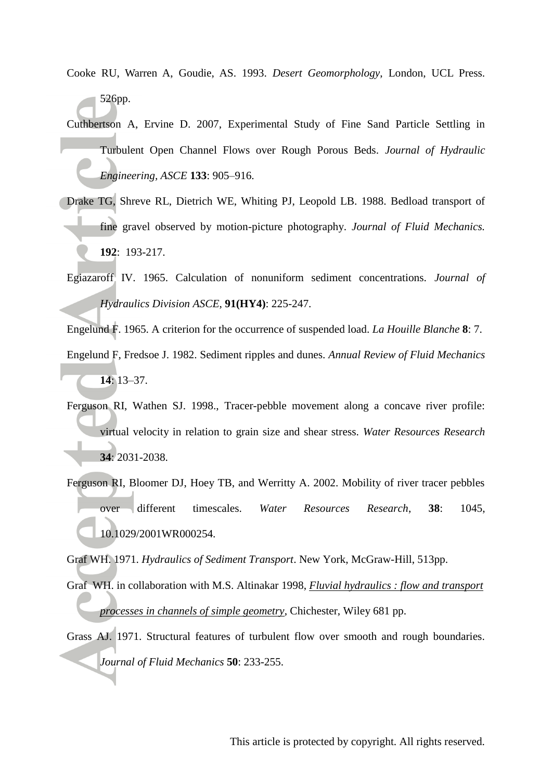- Cooke RU, Warren A, Goudie, AS. 1993. *Desert Geomorphology*, London, UCL Press. 526pp.
- Cuthbertson A, Ervine D. 2007, Experimental Study of Fine Sand Particle Settling in Turbulent Open Channel Flows over Rough Porous Beds. *Journal of Hydraulic Engineering, ASCE* **133**: 905–916.
- Drake TG, Shreve RL, Dietrich WE, Whiting PJ, Leopold LB. 1988. Bedload transport of fine gravel observed by motion-picture photography. *Journal of Fluid Mechanics.* **192**: 193-217.
- Egiazaroff IV. 1965. Calculation of nonuniform sediment concentrations. *Journal of Hydraulics Division ASCE*, **91(HY4)**: 225-247.

Engelund F. 1965. A criterion for the occurrence of suspended load. *La Houille Blanche* **8**: 7.

- Engelund F, Fredsoe J. 1982. Sediment ripples and dunes. *Annual Review of Fluid Mechanics* **14**: 13–37.
- Ferguson RI, Wathen SJ. 1998., Tracer-pebble movement along a concave river profile: virtual velocity in relation to grain size and shear stress. *Water Resources Research* **34**: 2031-2038.
- Ferguson RI, Bloomer DJ, Hoey TB, and Werritty A. 2002. Mobility of river tracer pebbles over different timescales. *Water Resources Research*, **38**: 1045, 10.1029/2001WR000254.

Graf WH. 1971. *Hydraulics of Sediment Transport*. New York, McGraw-Hill, 513pp.

- Graf WH. in collaboration with M.S. Altinakar 1998, *[Fluvial hydraulics : flow and transport](http://copac.ac.uk/search?title=Fluvial%20hydraulics%20%3A%20flow%20and%20transport%20processes%20in%20channels%20of%20simple%20geometry)  [processes in channels of simple geometry](http://copac.ac.uk/search?title=Fluvial%20hydraulics%20%3A%20flow%20and%20transport%20processes%20in%20channels%20of%20simple%20geometry)*, Chichester, Wiley 681 pp.
- Grass AJ. 1971. Structural features of turbulent flow over smooth and rough boundaries. *Journal of Fluid Mechanics* **50**: 233-255.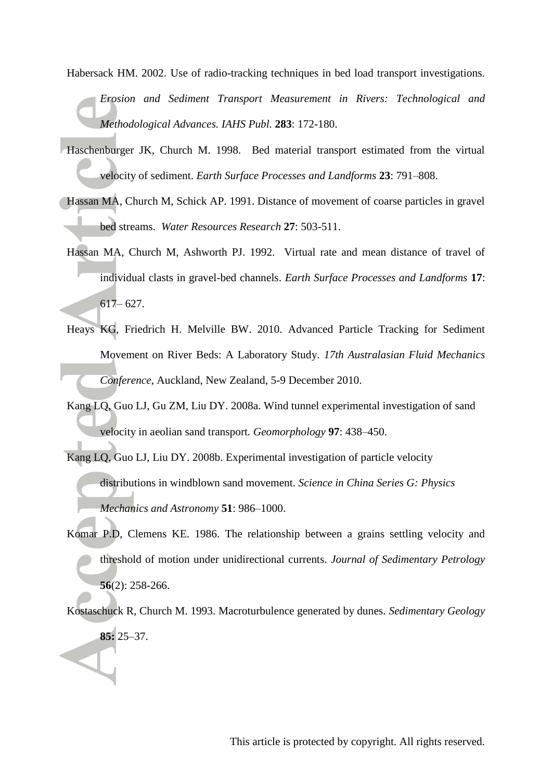Habersack HM. 2002. Use of radio-tracking techniques in bed load transport investigations. *Erosion and Sediment Transport Measurement in Rivers: Technological and Methodological Advances. IAHS Publ.* **283**: 172-180.

- Haschenburger JK, Church M. 1998. Bed material transport estimated from the virtual velocity of sediment. *Earth Surface Processes and Landforms* **23**: 791–808.
- Hassan MA, Church M, Schick AP. 1991. Distance of movement of coarse particles in gravel bed streams. *Water Resources Research* **27**: 503-511.
- Hassan MA, Church M, Ashworth PJ. 1992. Virtual rate and mean distance of travel of individual clasts in gravel-bed channels. *Earth Surface Processes and Landforms* **17**: 617– 627.
- Heays KG, Friedrich H. Melville BW. 2010. Advanced Particle Tracking for Sediment Movement on River Beds: A Laboratory Study. *17th Australasian Fluid Mechanics Conference*, Auckland, New Zealand, 5-9 December 2010.
- Kang LQ, Guo LJ, Gu ZM, Liu DY. 2008a. Wind tunnel experimental investigation of sand velocity in aeolian sand transport*. Geomorphology* **97**: 438–450.
- Kang LQ, Guo LJ, Liu DY. 2008b. Experimental investigation of particle velocity distributions in windblown sand movement. *Science in China Series G: Physics Mechanics and Astronomy* **51**: 986–1000.
- Komar P.D, Clemens KE. 1986. The relationship between a grains settling velocity and threshold of motion under unidirectional currents. *Journal of Sedimentary Petrology* **56**(2): 258-266.
- Kostaschuck R, Church M. 1993. Macroturbulence generated by dunes. *Sedimentary Geology*  **85:** 25–37.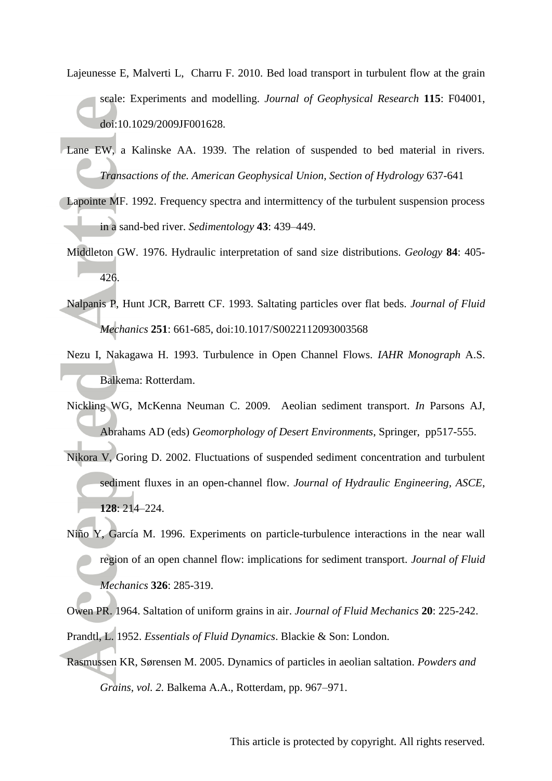- Lajeunesse E, Malverti L, Charru F. 2010. Bed load transport in turbulent flow at the grain scale: Experiments and modelling. *Journal of Geophysical Research* **115**: F04001, doi:10.1029/2009JF001628.
- Lane EW, a Kalinske AA. 1939. The relation of suspended to bed material in rivers. *Transactions of the. American Geophysical Union, Section of Hydrology* 637-641
- Lapointe MF. 1992. Frequency spectra and intermittency of the turbulent suspension process in a sand-bed river. *Sedimentology* **43**: 439–449.
- Middleton GW. 1976. Hydraulic interpretation of sand size distributions. *Geology* **84**: 405- 426.
- Nalpanis P, Hunt JCR, Barrett CF. 1993. Saltating particles over flat beds. *Journal of Fluid Mechanics* **251**: 661-685, doi:10.1017/S0022112093003568
- Nezu I, Nakagawa H. 1993. Turbulence in Open Channel Flows. *IAHR Monograph* A.S. Balkema: Rotterdam.
- Nickling WG, McKenna Neuman C. 2009. Aeolian sediment transport. *In* Parsons AJ, Abrahams AD (eds) *Geomorphology of Desert Environments*, Springer, pp517-555.
- Nikora V, Goring D. 2002. Fluctuations of suspended sediment concentration and turbulent sediment fluxes in an open-channel flow. *Journal of Hydraulic Engineering, ASCE*, **128**: 214–224.
- Niño Y, García M. 1996. Experiments on particle-turbulence interactions in the near wall region of an open channel flow: implications for sediment transport. *Journal of Fluid Mechanics* **326**: 285-319.
- Owen PR. 1964. Saltation of uniform grains in air. *Journal of Fluid Mechanics* **20**: 225-242. Prandtl, L. 1952. *Essentials of Fluid Dynamics*. Blackie & Son: London.
- Rasmussen KR, Sørensen M. 2005. Dynamics of particles in aeolian saltation. *Powders and Grains, vol. 2.* Balkema A.A., Rotterdam, pp. 967–971.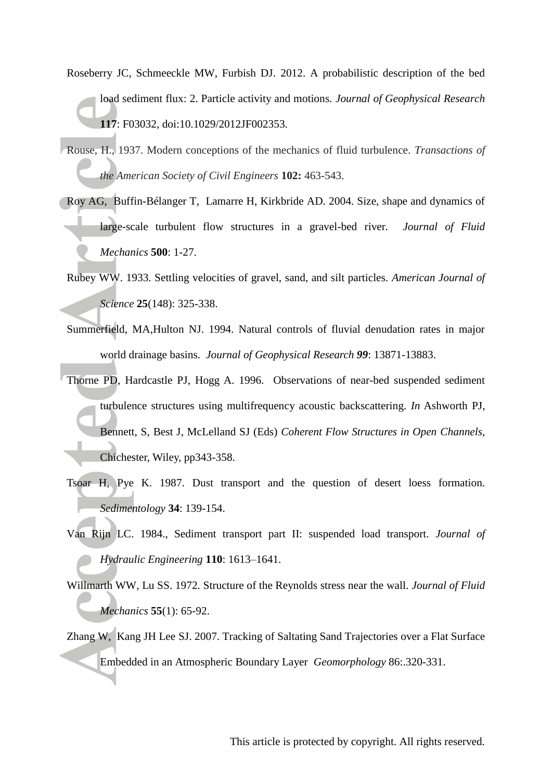- Roseberry JC, Schmeeckle MW, Furbish DJ. 2012. A probabilistic description of the bed load sediment flux: 2. Particle activity and motions. *Journal of Geophysical Research* **117**: F03032, doi:10.1029/2012JF002353.
- Rouse, H., 1937. Modern conceptions of the mechanics of fluid turbulence. *Transactions of the American Society of Civil Engineers* **102:** 463-543.
- Roy AG, Buffin-Bélanger T, Lamarre H, Kirkbride AD. 2004. Size, shape and dynamics of large-scale turbulent flow structures in a gravel-bed river*. Journal of Fluid Mechanics* **500**: 1-27.
- Rubey WW. 1933. Settling velocities of gravel, sand, and silt particles. *American Journal of Science* **25**(148): 325-338.
- Summerfield, MA,Hulton NJ. 1994. Natural controls of fluvial denudation rates in major world drainage basins. *Journal of Geophysical Research 99*: 13871-13883.
- Thorne PD, Hardcastle PJ, Hogg A. 1996. Observations of near-bed suspended sediment turbulence structures using multifrequency acoustic backscattering. *In* Ashworth PJ, Bennett, S, Best J, McLelland SJ (Eds) *Coherent Flow Structures in Open Channels*, Chichester, Wiley, pp343-358.
- Tsoar H, Pye K. 1987. Dust transport and the question of desert loess formation. *Sedimentology* **34**: 139-154.
- Van Rijn LC. 1984., Sediment transport part II: suspended load transport. *Journal of Hydraulic Engineering* **110**: 1613–1641.
- Willmarth WW, Lu SS. 1972. Structure of the Reynolds stress near the wall. *Journal of Fluid Mechanics* **55**(1): 65-92.
- Zhang W, Kang JH Lee SJ. 2007. Tracking of Saltating Sand Trajectories over a Flat Surface Embedded in an Atmospheric Boundary Layer *Geomorphology* 86:.320-331.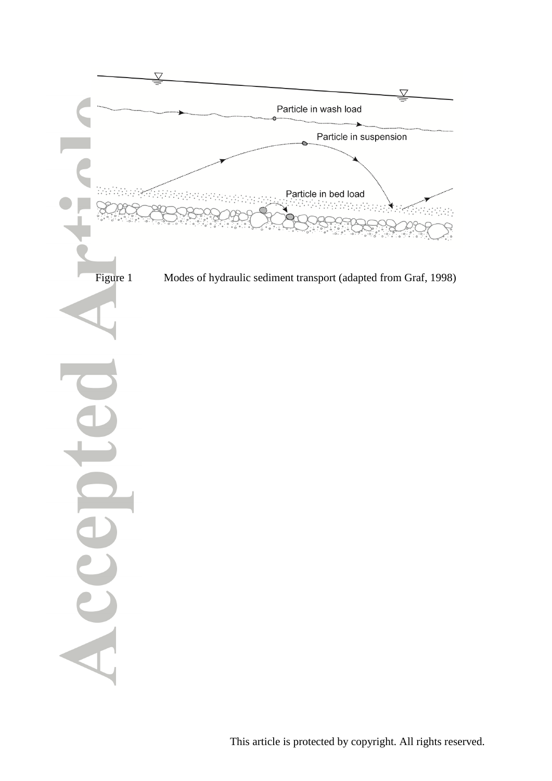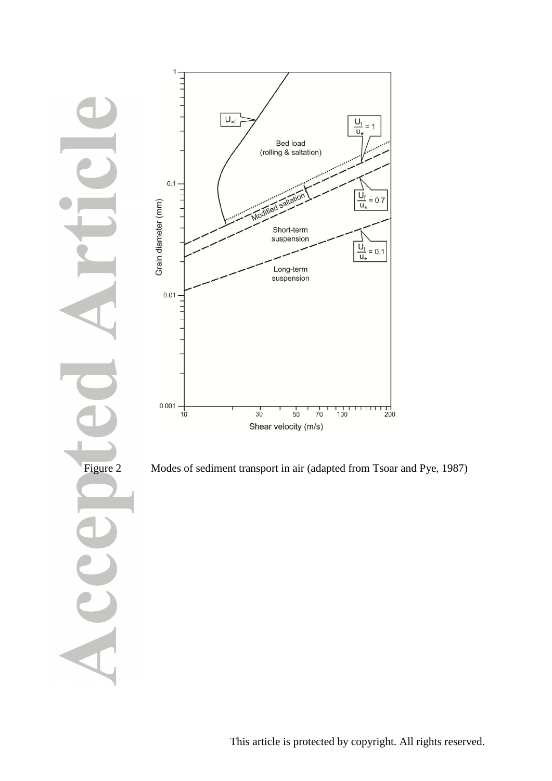